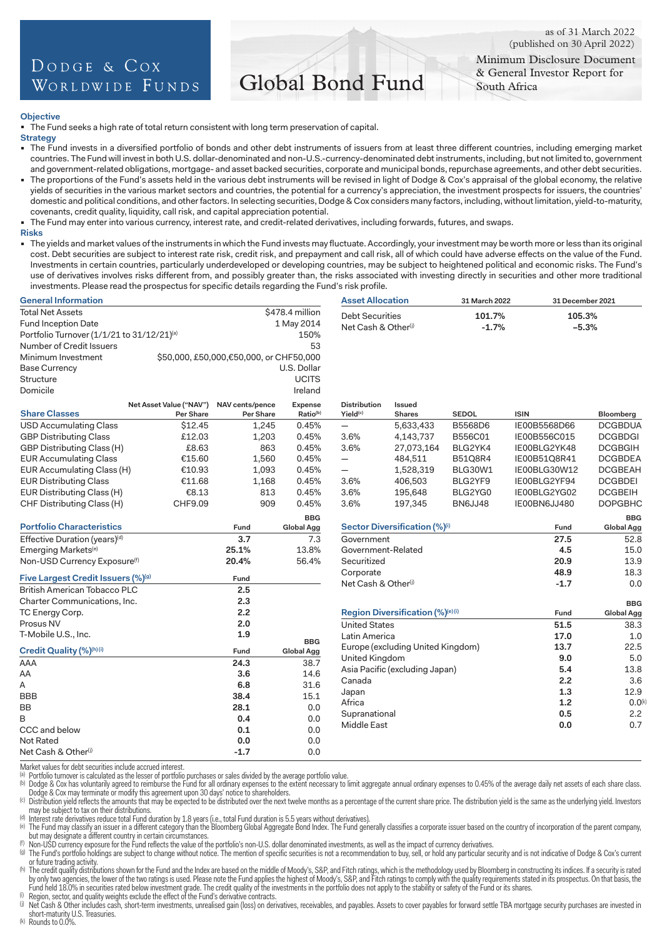# DODGE & COX WORLDWIDE FUNDS

# Global Bond Fund

as of 31 March 2022 (published on 30 April 2022)

Minimum Disclosure Document & General Investor Report for South Africa

# **Objective**

The Fund seeks a high rate of total return consistent with long term preservation of capital.

#### **Strategy**

- The Fund invests in a diversified portfolio of bonds and other debt instruments of issuers from at least three different countries, including emerging market countries. The Fund will invest in both U.S. dollar-denominated and non-U.S.-currency-denominated debt instruments, including, but not limited to, government and government-related obligations, mortgage- and asset backed securities, corporate and municipal bonds, repurchase agreements, and other debt securities.
- The proportions of the Fund's assets held in the various debt instruments will be revised in light of Dodge & Cox's appraisal of the global economy, the relative yields of securities in the various market sectors and countries, the potential for a currency's appreciation, the investment prospects for issuers, the countries' domestic and political conditions, and other factors. In selecting securities, Dodge & Cox considers many factors, including, without limitation, yield-to-maturity, covenants, credit quality, liquidity, call risk, and capital appreciation potential.
- The Fund may enter into various currency, interest rate, and credit-related derivatives, including forwards, futures, and swaps.
- **Risks**
- The yields and market values of the instruments in which the Fund invests may fluctuate. Accordingly, your investment may be worth more or less than its original cost. Debt securities are subject to interest rate risk, credit risk, and prepayment and call risk, all of which could have adverse effects on the value of the Fund. Investments in certain countries, particularly underdeveloped or developing countries, may be subject to heightened political and economic risks. The Fund's use of derivatives involves risks different from, and possibly greater than, the risks associated with investing directly in securities and other more traditional investments. Please read the prospectus for specific details regarding the Fund's risk profile.

| <b>General Information</b>                                 |                         |                                         |                                 | <b>Asset Allocation</b>         |                                   | 31 March 2022  | 31 December 2021 |                          |
|------------------------------------------------------------|-------------------------|-----------------------------------------|---------------------------------|---------------------------------|-----------------------------------|----------------|------------------|--------------------------|
| \$478.4 million<br><b>Total Net Assets</b>                 |                         |                                         |                                 | <b>Debt Securities</b>          |                                   | 101.7%         | 105.3%           |                          |
| Fund Inception Date<br>1 May 2014                          |                         |                                         | Net Cash & Other <sup>(j)</sup> |                                 | $-1.7%$                           | $-5.3%$        |                  |                          |
| Portfolio Turnover (1/1/21 to 31/12/21)(a)                 |                         |                                         | 150%                            |                                 |                                   |                |                  |                          |
| Number of Credit Issuers                                   |                         |                                         | 53                              |                                 |                                   |                |                  |                          |
| Minimum Investment                                         |                         | \$50,000, £50,000,€50,000, or CHF50,000 |                                 |                                 |                                   |                |                  |                          |
| <b>Base Currency</b>                                       |                         |                                         | U.S. Dollar                     |                                 |                                   |                |                  |                          |
| Structure                                                  |                         |                                         | <b>UCITS</b>                    |                                 |                                   |                |                  |                          |
| Domicile                                                   |                         |                                         | Ireland                         |                                 |                                   |                |                  |                          |
|                                                            | Net Asset Value ("NAV") | NAV cents/pence                         | Expense                         | <b>Distribution</b>             | Issued                            |                |                  |                          |
| <b>Share Classes</b>                                       | Per Share               | Per Share                               | Ratio(b)                        | Yield <sup>(c)</sup>            | Shares                            | <b>SEDOL</b>   | <b>ISIN</b>      | Bloomberg                |
| <b>USD Accumulating Class</b>                              | \$12.45                 | 1,245                                   | 0.45%                           | $\overline{\phantom{0}}$        | 5,633,433                         | B5568D6        | IE00B5568D66     | <b>DCGBDUA</b>           |
| <b>GBP Distributing Class</b>                              | £12.03                  | 1,203                                   | 0.45%                           | 3.6%                            | 4,143,737                         | B556C01        | IE00B556C015     | <b>DCGBDGI</b>           |
| GBP Distributing Class (H)                                 | £8.63                   | 863                                     | 0.45%                           | 3.6%                            | 27,073,164                        | BLG2YK4        | IE00BLG2YK48     | <b>DCGBGIH</b>           |
| <b>EUR Accumulating Class</b>                              | €15.60                  | 1,560                                   | 0.45%                           | $\qquad \qquad -$               | 484,511                           | <b>B51Q8R4</b> | IE00B51Q8R41     | <b>DCGBDEA</b>           |
| EUR Accumulating Class (H)                                 | €10.93                  | 1,093                                   | 0.45%                           |                                 | 1,528,319                         | <b>BLG30W1</b> | IE00BLG30W12     | <b>DCGBEAH</b>           |
| <b>EUR Distributing Class</b>                              | €11.68                  | 1,168                                   | 0.45%                           | 3.6%                            | 406,503                           | BLG2YF9        | IE00BLG2YF94     | <b>DCGBDEI</b>           |
| EUR Distributing Class (H)                                 | €8.13                   | 813                                     | 0.45%                           | 3.6%                            | 195,648                           | BLG2YG0        | IE00BLG2YG02     | <b>DCGBEIH</b>           |
| CHF Distributing Class (H)                                 | CHF9.09                 | 909                                     | 0.45%                           | 3.6%                            | 197,345                           | BN6JJ48        | IE00BN6JJ480     | <b>DOPGBHC</b>           |
|                                                            |                         |                                         | <b>BBG</b>                      |                                 |                                   |                |                  | <b>BBG</b>               |
| <b>Portfolio Characteristics</b>                           |                         | Fund                                    | Global Agg                      |                                 | Sector Diversification (%)(i)     |                | Fund             | <b>Global Agg</b>        |
| Effective Duration (years)(d)                              |                         | 3.7                                     | 7.3                             | Government                      |                                   |                | 27.5             | 52.8                     |
| Emerging Markets <sup>(e)</sup>                            |                         | 25.1%                                   | 13.8%                           | Government-Related              |                                   |                | 4.5              | 15.0                     |
| Non-USD Currency Exposure(f)                               |                         | 20.4%                                   | 56.4%                           | Securitized                     |                                   |                | 20.9             | 13.9                     |
| Five Largest Credit Issuers (%)(g)                         |                         | Fund                                    |                                 | Corporate                       |                                   |                | 48.9             | 18.3                     |
| British American Tobacco PLC                               |                         | 2.5                                     |                                 | Net Cash & Other <sup>(j)</sup> |                                   |                | $-1.7$           | 0.0                      |
| Charter Communications, Inc.                               |                         | 2.3                                     |                                 |                                 |                                   |                |                  |                          |
| TC Energy Corp.                                            |                         | 2.2                                     |                                 |                                 | Region Diversification (%)(e)(i)  |                | Fund             | <b>BBG</b><br>Global Agg |
| Prosus NV                                                  |                         | 2.0                                     |                                 | <b>United States</b>            |                                   |                | 51.5             | 38.3                     |
| T-Mobile U.S., Inc.                                        |                         | 1.9                                     |                                 | Latin America                   |                                   |                | 17.0             | 1.0                      |
|                                                            |                         |                                         | <b>BBG</b>                      |                                 | Europe (excluding United Kingdom) |                | 13.7             | 22.5                     |
| Credit Quality (%)(h)(i)                                   |                         | Fund                                    | Global Agg                      | United Kingdom                  |                                   |                | 9.0              | 5.0                      |
| AAA                                                        |                         | 24.3                                    | 38.7                            |                                 | Asia Pacific (excluding Japan)    |                | 5.4              | 13.8                     |
| AA                                                         |                         | 3.6                                     | 14.6                            | Canada                          |                                   |                | 2.2              | 3.6                      |
| А                                                          |                         | 6.8                                     | 31.6                            |                                 |                                   |                | 1.3              | 12.9                     |
| <b>BBB</b>                                                 |                         | 38.4                                    | 15.1                            | Japan<br>Africa                 |                                   |                | 1.2              | $0.0^{(k)}$              |
| <b>BB</b>                                                  |                         | 28.1                                    | 0.0                             | Supranational                   |                                   |                | 0.5              | 2.2                      |
| В                                                          |                         | 0.4                                     | 0.0                             | Middle East                     |                                   |                | 0.0              | 0.7                      |
| CCC and below                                              |                         | 0.1                                     | 0.0                             |                                 |                                   |                |                  |                          |
| <b>Not Rated</b>                                           |                         | 0.0                                     | 0.0                             |                                 |                                   |                |                  |                          |
| Net Cash & Other <sup>(j)</sup>                            |                         | $-1.7$                                  | 0.0                             |                                 |                                   |                |                  |                          |
| Market values for dobt coourities include coorued interest |                         |                                         |                                 |                                 |                                   |                |                  |                          |

(a) Portfolio turnover is calculated as the lesser of portfolio purchases or sales divided by the average portfolio value.

(b) Dodge & Cox has voluntarily agreed to reimburse the Fund for all ordinary expenses to the extent necessary to limit aggregate annual ordinary expenses to 0.45% of the average daily net assets of each share class.

Dodge & Cox may terminate or modify this agreement upon 30 days' notice to shareholders.<br>(c) Distribution yield reflects the amounts that may be expected to be distributed over the next twelve months as a percentage of the

<sup>(d)</sup> Interest rate derivatives reduce total Fund duration by 1.8 years (i.e., total Fund duration is 5.5 years without derivatives).<br><sup>(e)</sup> The Fund may classify an issuer in a different category than the Bloomberg Global

but may designate a different country in certain circumstances.<br>
(f) Non-USD currency exposure for the Fund reflects the value of the portfolio's non-U.S. dollar denominated investments, as well as the impact of currency d

or future trading activity.<br>(h) The credit quality distributions shown for the Fund and the Index are based on the middle of Moody's, S&P, and Fitch ratings, which is the methodology used by Bloomberg in constructing its i Fund held 18.0% in securities rated below investment grade. The credit quality of the investments in the portfolio does not apply to the stability or safety of the Fund or its shares.<br><sup>(i)</sup> Net Cash & Other includes cash,

short-maturity U.S. Treasuries.<br>(k) Rounds to 0.0%.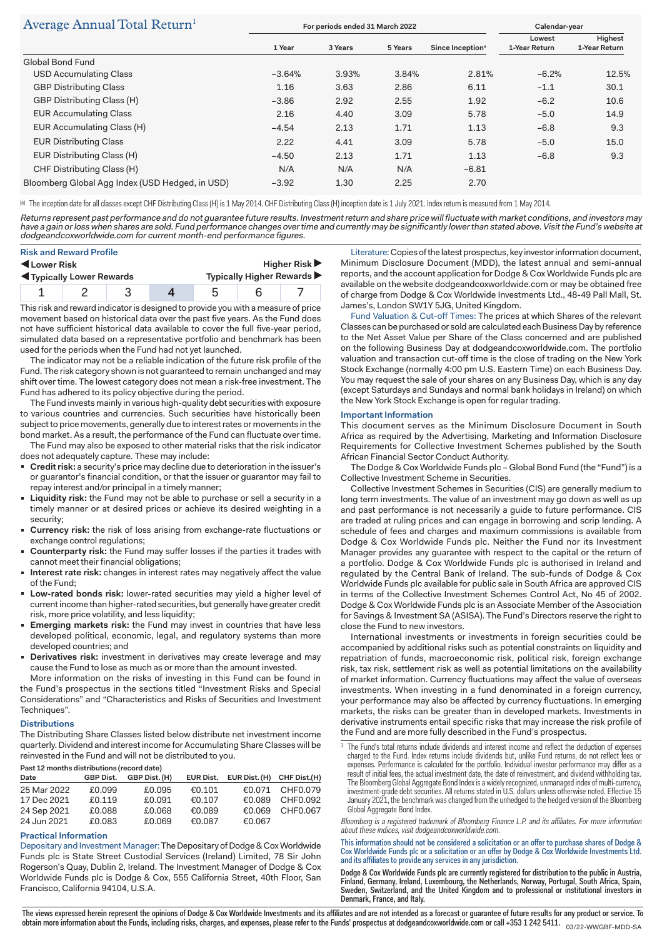# $\Lambda$

| Average Annual Tolai Return                     | For periods ended 31 March 2022 |         |         |                              | Calendar-year           |                          |
|-------------------------------------------------|---------------------------------|---------|---------|------------------------------|-------------------------|--------------------------|
|                                                 | 1 Year                          | 3 Years | 5 Years | Since Inception <sup>ª</sup> | Lowest<br>1-Year Return | Highest<br>1-Year Return |
| Global Bond Fund                                |                                 |         |         |                              |                         |                          |
| <b>USD Accumulating Class</b>                   | $-3.64%$                        | 3.93%   | 3.84%   | 2.81%                        | $-6.2%$                 | 12.5%                    |
| <b>GBP Distributing Class</b>                   | 1.16                            | 3.63    | 2.86    | 6.11                         | $-1.1$                  | 30.1                     |
| GBP Distributing Class (H)                      | $-3.86$                         | 2.92    | 2.55    | 1.92                         | $-6.2$                  | 10.6                     |
| <b>EUR Accumulating Class</b>                   | 2.16                            | 4.40    | 3.09    | 5.78                         | $-5.0$                  | 14.9                     |
| EUR Accumulating Class (H)                      | $-4.54$                         | 2.13    | 1.71    | 1.13                         | $-6.8$                  | 9.3                      |
| <b>EUR Distributing Class</b>                   | 2.22                            | 4.41    | 3.09    | 5.78                         | $-5.0$                  | 15.0                     |
| EUR Distributing Class (H)                      | $-4.50$                         | 2.13    | 1.71    | 1.13                         | $-6.8$                  | 9.3                      |
| CHF Distributing Class (H)                      | N/A                             | N/A     | N/A     | $-6.81$                      |                         |                          |
| Bloomberg Global Agg Index (USD Hedged, in USD) | $-3.92$                         | 1.30    | 2.25    | 2.70                         |                         |                          |

(a) The inception date for all classes except CHF Distributing Class (H) is 1 May 2014. CHF Distributing Class (H) inception date is 1 July 2021. Index return is measured from 1 May 2014.

Returns represent past performance and do not guarantee future results. Investment return and share price will fluctuate with market conditions, and investors may have a gain or loss when shares are sold. Fund performance changes over time and currently may be significantly lower than stated above. Visit the Fund's website at dodgeandcoxworldwide.com for current month-end performance figures.

| <b>Risk and Reward Profile</b><br>Lower Risk<br><b>IVEL Typically Lower Rewards</b> |  | Higher Risk $\blacktriangleright$<br>Typically Higher Rewards |  |  |  |
|-------------------------------------------------------------------------------------|--|---------------------------------------------------------------|--|--|--|
|                                                                                     |  |                                                               |  |  |  |

This risk and reward indicator is designed to provide you with a measure of price movement based on historical data over the past five years. As the Fund does not have sufficient historical data available to cover the full five-year period, simulated data based on a representative portfolio and benchmark has been used for the periods when the Fund had not yet launched.

The indicator may not be a reliable indication of the future risk profile of the Fund. The risk category shown is not guaranteed to remain unchanged and may shift over time. The lowest category does not mean a risk-free investment. The Fund has adhered to its policy objective during the period.

The Fund invests mainly in various high-quality debt securities with exposure to various countries and currencies. Such securities have historically been subject to price movements, generally due to interest rates or movements in the bond market. As a result, the performance of the Fund can fluctuate over time.

The Fund may also be exposed to other material risks that the risk indicator does not adequately capture. These may include:

- **Credit risk:** a security's price may decline due to deterioration in the issuer's or guarantor's financial condition, or that the issuer or guarantor may fail to repay interest and/or principal in a timely manner;
- **Liquidity risk:** the Fund may not be able to purchase or sell a security in a timely manner or at desired prices or achieve its desired weighting in a security;
- **Currency risk:** the risk of loss arising from exchange-rate fluctuations or exchange control regulations;
- **Counterparty risk:** the Fund may suffer losses if the parties it trades with cannot meet their financial obligations;
- **Interest rate risk:** changes in interest rates may negatively affect the value of the Fund;
- **Low-rated bonds risk:** lower-rated securities may yield a higher level of current income than higher-rated securities, but generally have greater credit risk, more price volatility, and less liquidity;
- **Emerging markets risk:** the Fund may invest in countries that have less developed political, economic, legal, and regulatory systems than more developed countries; and
- **Derivatives risk:** investment in derivatives may create leverage and may cause the Fund to lose as much as or more than the amount invested.

More information on the risks of investing in this Fund can be found in the Fund's prospectus in the sections titled "Investment Risks and Special Considerations" and "Characteristics and Risks of Securities and Investment Techniques".

# **Distributions**

The Distributing Share Classes listed below distribute net investment income quarterly. Dividend and interest income for Accumulating Share Classes will be reinvested in the Fund and will not be distributed to you.

# **Past 12 months distributions (record date)**

| Date        | <b>GBP Dist.</b> | GBP Dist. (H) |        | EUR Dist. EUR Dist. (H) CHF Dist. (H) |                 |
|-------------|------------------|---------------|--------|---------------------------------------|-----------------|
| 25 Mar 2022 | £0.099           | £0.095        | €0.101 |                                       | €0.071 CHF0.079 |
| 17 Dec 2021 | £0.119           | £0.091        | €0.107 |                                       | €0.089 CHF0.092 |
| 24 Sep 2021 | £0.088           | £0.068        | €0.089 |                                       | €0.069 CHF0.067 |
| 24 Jun 2021 | £0.083           | £0.069        | €0.087 | €0.067                                |                 |

# **Practical Information**

Depositary and Investment Manager: The Depositary of Dodge & Cox Worldwide Funds plc is State Street Custodial Services (Ireland) Limited, 78 Sir John Rogerson's Quay, Dublin 2, Ireland. The Investment Manager of Dodge & Cox Worldwide Funds plc is Dodge & Cox, 555 California Street, 40th Floor, San Francisco, California 94104, U.S.A.

Literature: Copies of the latest prospectus, key investor information document, Minimum Disclosure Document (MDD), the latest annual and semi-annual reports, and the account application for Dodge & Cox Worldwide Funds plc are available on the website dodgeandcoxworldwide.com or may be obtained free of charge from Dodge & Cox Worldwide Investments Ltd., 48-49 Pall Mall, St. James's, London SW1Y 5JG, United Kingdom.

Fund Valuation & Cut-off Times: The prices at which Shares of the relevant Classes can be purchased or sold are calculated each Business Day by reference to the Net Asset Value per Share of the Class concerned and are published on the following Business Day at dodgeandcoxworldwide.com. The portfolio valuation and transaction cut-off time is the close of trading on the New York Stock Exchange (normally 4:00 pm U.S. Eastern Time) on each Business Day. You may request the sale of your shares on any Business Day, which is any day (except Saturdays and Sundays and normal bank holidays in Ireland) on which the New York Stock Exchange is open for regular trading.

#### **Important Information**

This document serves as the Minimum Disclosure Document in South Africa as required by the Advertising, Marketing and Information Disclosure Requirements for Collective Investment Schemes published by the South African Financial Sector Conduct Authority.

The Dodge & Cox Worldwide Funds plc – Global Bond Fund (the "Fund") is a Collective Investment Scheme in Securities.

Collective Investment Schemes in Securities (CIS) are generally medium to long term investments. The value of an investment may go down as well as up and past performance is not necessarily a guide to future performance. CIS are traded at ruling prices and can engage in borrowing and scrip lending. A schedule of fees and charges and maximum commissions is available from Dodge & Cox Worldwide Funds plc. Neither the Fund nor its Investment Manager provides any guarantee with respect to the capital or the return of a portfolio. Dodge & Cox Worldwide Funds plc is authorised in Ireland and regulated by the Central Bank of Ireland. The sub-funds of Dodge & Cox Worldwide Funds plc available for public sale in South Africa are approved CIS in terms of the Collective Investment Schemes Control Act, No 45 of 2002. Dodge & Cox Worldwide Funds plc is an Associate Member of the Association for Savings & Investment SA (ASISA). The Fund's Directors reserve the right to close the Fund to new investors.

International investments or investments in foreign securities could be accompanied by additional risks such as potential constraints on liquidity and repatriation of funds, macroeconomic risk, political risk, foreign exchange risk, tax risk, settlement risk as well as potential limitations on the availability of market information. Currency fluctuations may affect the value of overseas investments. When investing in a fund denominated in a foreign currency, your performance may also be affected by currency fluctuations. In emerging markets, the risks can be greater than in developed markets. Investments in derivative instruments entail specific risks that may increase the risk profile of the Fund and are more fully described in the Fund's prospectus.

Bloomberg is a registered trademark of Bloomberg Finance L.P. and its affiliates. For more information about these indices, visit dodgeandcoxworldwide.com.

This information should not be considered a solicitation or an offer to purchase shares of Dodge & Cox Worldwide Funds plc or a solicitation or an offer by Dodge & Cox Worldwide Investments Ltd. and its affiliates to provide any services in any jurisdiction.

Dodge & Cox Worldwide Funds plc are currently registered for distribution to the public in Austria, Finland, Germany, Ireland, Luxembourg, the Netherlands, Norway, Portugal, South Africa, Spain, Sweden, Switzerland, and the United Kingdom and to professional or institutional investors in Denmark, France, and Italy.

The views expressed herein represent the opinions of Dodge & Cox Worldwide Investments and its affiliates and are not intended as a forecast or guarantee of future results for any product or service. To obtain more information about the Funds, including risks, charges, and expenses, please refer to the Funds' prospectus at dodgeandcoxworldwide.com or call +353 1 242 5411.  $_{\rm 03/22-WWGBF\text{-}MDPSA}$ 

<sup>&</sup>lt;sup>1</sup> The Fund's total returns include dividends and interest income and reflect the deduction of expenses charged to the Fund. Index returns include dividends but, unlike Fund returns, do not reflect fees or expenses. Performance is calculated for the portfolio. Individual investor performance may differ as a result of initial fees, the actual investment date, the date of reinvestment, and dividend withholding tax. The Bloomberg Global Aggregate Bond Index is a widely recognized, unmanaged index of multi-currency, investment-grade debt securities. All returns stated in U.S. dollars unless otherwise noted. Effective 15 January 2021, the benchmark was changed from the unhedged to the hedged version of the Bloomberg Global Aggregate Bond Index.